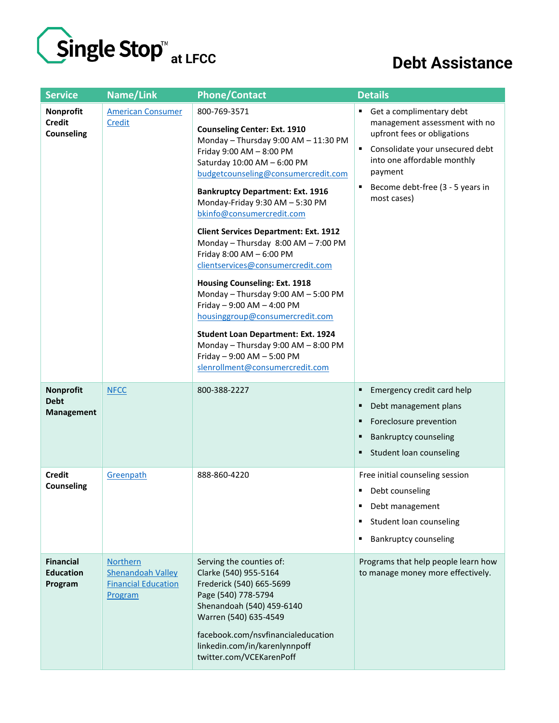

## **Debt Assistance**

| <b>Service</b>                                       | Name/Link                                                                            | <b>Phone/Contact</b>                                                                                                                                                                                                                                                                                                                                                                                                                                                                                                                                                                                                                                                                                                                                                  | <b>Details</b>                                                                                                                                                                                                                |
|------------------------------------------------------|--------------------------------------------------------------------------------------|-----------------------------------------------------------------------------------------------------------------------------------------------------------------------------------------------------------------------------------------------------------------------------------------------------------------------------------------------------------------------------------------------------------------------------------------------------------------------------------------------------------------------------------------------------------------------------------------------------------------------------------------------------------------------------------------------------------------------------------------------------------------------|-------------------------------------------------------------------------------------------------------------------------------------------------------------------------------------------------------------------------------|
| Nonprofit<br><b>Credit</b><br><b>Counseling</b>      | <b>American Consumer</b><br>Credit                                                   | 800-769-3571<br><b>Counseling Center: Ext. 1910</b><br>Monday - Thursday 9:00 AM - 11:30 PM<br>Friday 9:00 AM - 8:00 PM<br>Saturday 10:00 AM - 6:00 PM<br>budgetcounseling@consumercredit.com<br><b>Bankruptcy Department: Ext. 1916</b><br>Monday-Friday 9:30 AM - 5:30 PM<br>bkinfo@consumercredit.com<br><b>Client Services Department: Ext. 1912</b><br>Monday - Thursday 8:00 AM - 7:00 PM<br>Friday 8:00 AM - 6:00 PM<br>clientservices@consumercredit.com<br><b>Housing Counseling: Ext. 1918</b><br>Monday - Thursday 9:00 AM - 5:00 PM<br>Friday - 9:00 AM - 4:00 PM<br>housinggroup@consumercredit.com<br><b>Student Loan Department: Ext. 1924</b><br>Monday - Thursday 9:00 AM - 8:00 PM<br>Friday - 9:00 AM - 5:00 PM<br>slenrollment@consumercredit.com | Get a complimentary debt<br>management assessment with no<br>upfront fees or obligations<br>Consolidate your unsecured debt<br>into one affordable monthly<br>payment<br>Become debt-free (3 - 5 years in<br>٠<br>most cases) |
| <b>Nonprofit</b><br><b>Debt</b><br><b>Management</b> | <b>NFCC</b>                                                                          | 800-388-2227                                                                                                                                                                                                                                                                                                                                                                                                                                                                                                                                                                                                                                                                                                                                                          | Emergency credit card help<br>٠<br>Debt management plans<br>٠<br>Foreclosure prevention<br>٠<br><b>Bankruptcy counseling</b><br>Student loan counseling<br>٠                                                                  |
| <b>Credit</b><br><b>Counseling</b>                   | Greenpath                                                                            | 888-860-4220                                                                                                                                                                                                                                                                                                                                                                                                                                                                                                                                                                                                                                                                                                                                                          | Free initial counseling session<br>Debt counseling<br>٠<br>Debt management<br>٠<br>Student loan counseling<br>п<br><b>Bankruptcy counseling</b><br>٠                                                                          |
| <b>Financial</b><br><b>Education</b><br>Program      | <b>Northern</b><br><b>Shenandoah Valley</b><br><b>Financial Education</b><br>Program | Serving the counties of:<br>Clarke (540) 955-5164<br>Frederick (540) 665-5699<br>Page (540) 778-5794<br>Shenandoah (540) 459-6140<br>Warren (540) 635-4549<br>facebook.com/nsvfinancialeducation<br>linkedin.com/in/karenlynnpoff<br>twitter.com/VCEKarenPoff                                                                                                                                                                                                                                                                                                                                                                                                                                                                                                         | Programs that help people learn how<br>to manage money more effectively.                                                                                                                                                      |